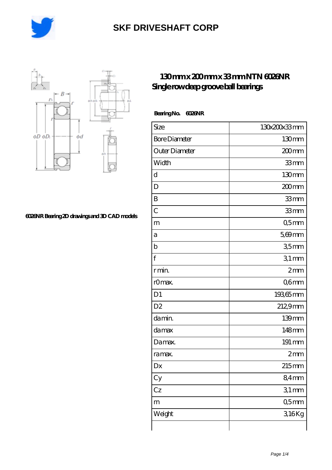



### **[6026NR Bearing 2D drawings and 3D CAD models](https://m.rollingwranch.com/pic-248255.html)**

### **[130 mm x 200 mm x 33 mm NTN 6026NR](https://m.rollingwranch.com/bh-248255-ntn-6026nr-single-row-deep-groove-ball-bearings.html) [Single row deep groove ball bearings](https://m.rollingwranch.com/bh-248255-ntn-6026nr-single-row-deep-groove-ball-bearings.html)**

#### **Bearing No. 6026NR**

| Size                 | 130x200x33mm      |
|----------------------|-------------------|
| <b>Bore Diameter</b> | 130mm             |
| Outer Diameter       | 200 <sub>mm</sub> |
| Width                | 33mm              |
| d                    | 130mm             |
| D                    | 200mm             |
| B                    | 33mm              |
| $\overline{C}$       | 33mm              |
| m                    | Q5mm              |
| а                    | $5,69$ mm         |
| b                    | 35mm              |
| f                    | $31$ mm           |
| r min.               | 2mm               |
| r0max.               | Q6mm              |
| D1                   | 19365mm           |
| D <sub>2</sub>       | 2129mm            |
| da min.              | 139mm             |
| da max               | 148mm             |
| Damax.               | 191 mm            |
| ra max.              | 2mm               |
| Dx                   | 215mm             |
| Cy                   | 84mm              |
| Cz                   | 31mm              |
| m                    | Q5mm              |
| Weight               | 316Kg             |
|                      |                   |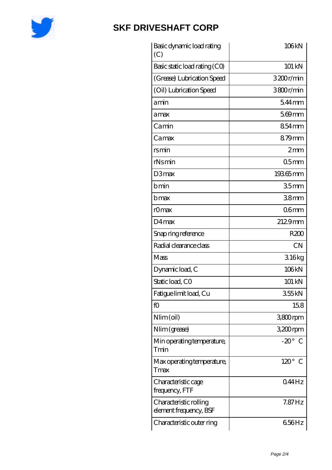

| Basic dynamic load rating<br>(C)                 | 106kN                       |
|--------------------------------------------------|-----------------------------|
| Basic static load rating (CO)                    | 101 kN                      |
| (Grease) Lubrication Speed                       | 3200r/min                   |
| (Oil) Lubrication Speed                          | 3800r/min                   |
| amin                                             | $544$ mm                    |
| amax                                             | $569$ mm                    |
| Camin                                            | $854$ mm                    |
| Camax                                            | 879mm                       |
| rsmin                                            | 2mm                         |
| rNsmin                                           | 05 <sub>mm</sub>            |
| D3max                                            | 19365mm                     |
| bmin                                             | 35 <sub>mm</sub>            |
| b max                                            | 38 <sub>mm</sub>            |
| rOmax                                            | 06 <sub>mm</sub>            |
| $D4$ max                                         | 2129mm                      |
| Snap ring reference                              | R200                        |
| Radial clearance class                           | <b>CN</b>                   |
| Mass                                             | 316kg                       |
| Dynamic load, C                                  | 106kN                       |
| Static load, CO                                  | 101 kN                      |
| Fatigue limit load, Cu                           | 355kN                       |
| fO                                               | 158                         |
| Nlim (oil)                                       | 3800rpm                     |
| Nlim (grease)                                    | 3,200rpm                    |
| Min operating temperature,<br>Tmin               | $-20^\circ$ C               |
| Max operating temperature,<br>Tmax               | $120^\circ$<br>$\mathcal C$ |
| Characteristic cage<br>frequency, FTF            | 044Hz                       |
| Characteristic rolling<br>element frequency, BSF | $7.87$ Hz                   |
| Characteristic outer ring                        | 656Hz                       |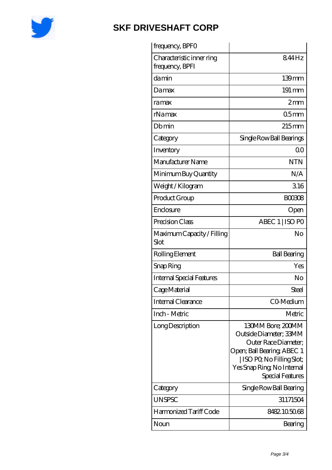

| frequency, BPFO                              |                                                                                                                                                                                   |
|----------------------------------------------|-----------------------------------------------------------------------------------------------------------------------------------------------------------------------------------|
| Characteristic inner ring<br>frequency, BPFI | 844Hz                                                                                                                                                                             |
| damin                                        | 139mm                                                                                                                                                                             |
| Damax                                        | 191 mm                                                                                                                                                                            |
| ramax                                        | 2mm                                                                                                                                                                               |
| rNamax                                       | 05 <sub>mm</sub>                                                                                                                                                                  |
| Dbmin                                        | $215$ mm                                                                                                                                                                          |
| Category                                     | Single Row Ball Bearings                                                                                                                                                          |
| Inventory                                    | 0 <sup>0</sup>                                                                                                                                                                    |
| Manufacturer Name                            | <b>NTN</b>                                                                                                                                                                        |
| Minimum Buy Quantity                         | N/A                                                                                                                                                                               |
| Weight / Kilogram                            | 316                                                                                                                                                                               |
| Product Group                                | <b>BOO308</b>                                                                                                                                                                     |
| Enclosure                                    | Open                                                                                                                                                                              |
| Precision Class                              | ABEC 1   ISO PO                                                                                                                                                                   |
| Maximum Capacity / Filling<br>Slot           | No                                                                                                                                                                                |
| Rolling Element                              | <b>Ball Bearing</b>                                                                                                                                                               |
| Snap Ring                                    | Yes                                                                                                                                                                               |
| <b>Internal Special Features</b>             | No                                                                                                                                                                                |
| Cage Material                                | Steel                                                                                                                                                                             |
| Internal Clearance                           | CO-Medium                                                                                                                                                                         |
| Inch - Metric                                | Metric                                                                                                                                                                            |
| Long Description                             | 130MM Bore; 200MM<br>Outside Diameter; 33MM<br>Outer Race Diameter;<br>Open; Ball Bearing; ABEC 1<br>  ISO PO, No Filling Slot;<br>Yes Snap Ring, No Internal<br>Special Features |
| Category                                     | Single Row Ball Bearing                                                                                                                                                           |
| <b>UNSPSC</b>                                | 31171504                                                                                                                                                                          |
| Harmonized Tariff Code                       | 8482.105068                                                                                                                                                                       |
| Noun                                         | Bearing                                                                                                                                                                           |